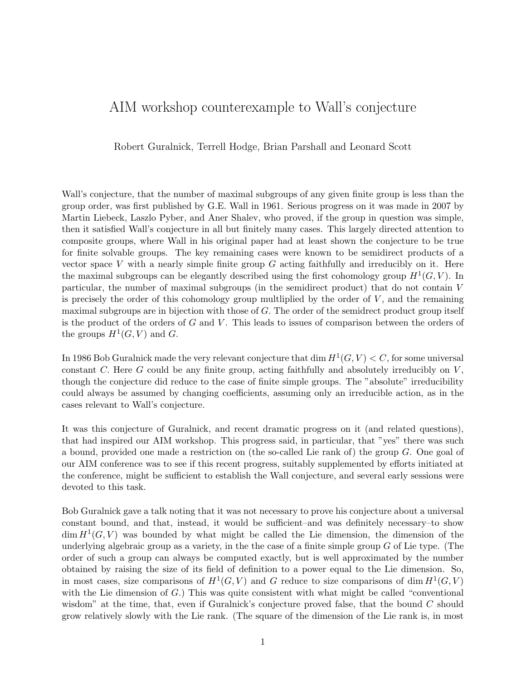## AIM workshop counterexample to Wall's conjecture

Robert Guralnick, Terrell Hodge, Brian Parshall and Leonard Scott

Wall's conjecture, that the number of maximal subgroups of any given finite group is less than the group order, was first published by G.E. Wall in 1961. Serious progress on it was made in 2007 by Martin Liebeck, Laszlo Pyber, and Aner Shalev, who proved, if the group in question was simple, then it satisfied Wall's conjecture in all but finitely many cases. This largely directed attention to composite groups, where Wall in his original paper had at least shown the conjecture to be true for finite solvable groups. The key remaining cases were known to be semidirect products of a vector space  $V$  with a nearly simple finite group  $G$  acting faithfully and irreducibly on it. Here the maximal subgroups can be elegantly described using the first cohomology group  $H^1(G, V)$ . In particular, the number of maximal subgroups (in the semidirect product) that do not contain V is precisely the order of this cohomology group multiplied by the order of  $V$ , and the remaining maximal subgroups are in bijection with those of G. The order of the semidrect product group itself is the product of the orders of  $G$  and  $V$ . This leads to issues of comparison between the orders of the groups  $H^1(G, V)$  and G.

In 1986 Bob Guralnick made the very relevant conjecture that dim  $H^1(G, V) < C$ , for some universal constant C. Here G could be any finite group, acting faithfully and absolutely irreducibly on  $V$ . though the conjecture did reduce to the case of finite simple groups. The "absolute" irreducibility could always be assumed by changing coefficients, assuming only an irreducible action, as in the cases relevant to Wall's conjecture.

It was this conjecture of Guralnick, and recent dramatic progress on it (and related questions), that had inspired our AIM workshop. This progress said, in particular, that "yes" there was such a bound, provided one made a restriction on (the so-called Lie rank of) the group G. One goal of our AIM conference was to see if this recent progress, suitably supplemented by efforts initiated at the conference, might be sufficient to establish the Wall conjecture, and several early sessions were devoted to this task.

Bob Guralnick gave a talk noting that it was not necessary to prove his conjecture about a universal constant bound, and that, instead, it would be sufficient–and was definitely necessary–to show  $\dim H^1(G, V)$  was bounded by what might be called the Lie dimension, the dimension of the underlying algebraic group as a variety, in the the case of a finite simple group  $G$  of Lie type. (The order of such a group can always be computed exactly, but is well approximated by the number obtained by raising the size of its field of definition to a power equal to the Lie dimension. So, in most cases, size comparisons of  $H^1(G, V)$  and G reduce to size comparisons of dim  $H^1(G, V)$ with the Lie dimension of  $G$ .) This was quite consistent with what might be called "conventional" wisdom" at the time, that, even if Guralnick's conjecture proved false, that the bound  $C$  should grow relatively slowly with the Lie rank. (The square of the dimension of the Lie rank is, in most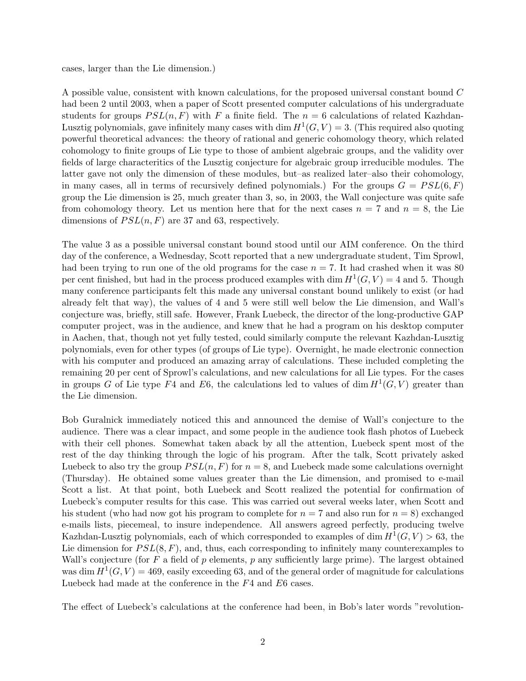cases, larger than the Lie dimension.)

A possible value, consistent with known calculations, for the proposed universal constant bound C had been 2 until 2003, when a paper of Scott presented computer calculations of his undergraduate students for groups  $PSL(n, F)$  with F a finite field. The  $n = 6$  calculations of related Kazhdan-Lusztig polynomials, gave infinitely many cases with dim  $H^1(G, V) = 3$ . (This required also quoting powerful theoretical advances: the theory of rational and generic cohomology theory, which related cohomology to finite groups of Lie type to those of ambient algebraic groups, and the validity over fields of large characteritics of the Lusztig conjecture for algebraic group irreducible modules. The latter gave not only the dimension of these modules, but–as realized later–also their cohomology, in many cases, all in terms of recursively defined polynomials.) For the groups  $G = PSL(6, F)$ group the Lie dimension is 25, much greater than 3, so, in 2003, the Wall conjecture was quite safe from cohomology theory. Let us mention here that for the next cases  $n = 7$  and  $n = 8$ , the Lie dimensions of  $PSL(n, F)$  are 37 and 63, respectively.

The value 3 as a possible universal constant bound stood until our AIM conference. On the third day of the conference, a Wednesday, Scott reported that a new undergraduate student, Tim Sprowl, had been trying to run one of the old programs for the case  $n = 7$ . It had crashed when it was 80 per cent finished, but had in the process produced examples with dim  $H^1(G, V) = 4$  and 5. Though many conference participants felt this made any universal constant bound unlikely to exist (or had already felt that way), the values of 4 and 5 were still well below the Lie dimension, and Wall's conjecture was, briefly, still safe. However, Frank Luebeck, the director of the long-productive GAP computer project, was in the audience, and knew that he had a program on his desktop computer in Aachen, that, though not yet fully tested, could similarly compute the relevant Kazhdan-Lusztig polynomials, even for other types (of groups of Lie type). Overnight, he made electronic connection with his computer and produced an amazing array of calculations. These included completing the remaining 20 per cent of Sprowl's calculations, and new calculations for all Lie types. For the cases in groups G of Lie type F4 and E6, the calculations led to values of dim  $H^1(G, V)$  greater than the Lie dimension.

Bob Guralnick immediately noticed this and announced the demise of Wall's conjecture to the audience. There was a clear impact, and some people in the audience took flash photos of Luebeck with their cell phones. Somewhat taken aback by all the attention, Luebeck spent most of the rest of the day thinking through the logic of his program. After the talk, Scott privately asked Luebeck to also try the group  $PSL(n, F)$  for  $n = 8$ , and Luebeck made some calculations overnight (Thursday). He obtained some values greater than the Lie dimension, and promised to e-mail Scott a list. At that point, both Luebeck and Scott realized the potential for confirmation of Luebeck's computer results for this case. This was carried out several weeks later, when Scott and his student (who had now got his program to complete for  $n = 7$  and also run for  $n = 8$ ) exchanged e-mails lists, piecemeal, to insure independence. All answers agreed perfectly, producing twelve Kazhdan-Lusztig polynomials, each of which corresponded to examples of dim  $H^1(G, V) > 63$ , the Lie dimension for  $PSL(8, F)$ , and, thus, each corresponding to infinitely many counterexamples to Wall's conjecture (for F a field of p elements, p any sufficiently large prime). The largest obtained was dim  $H^1(G, V) = 469$ , easily exceeding 63, and of the general order of magnitude for calculations Luebeck had made at the conference in the F4 and E6 cases.

The effect of Luebeck's calculations at the conference had been, in Bob's later words "revolution-